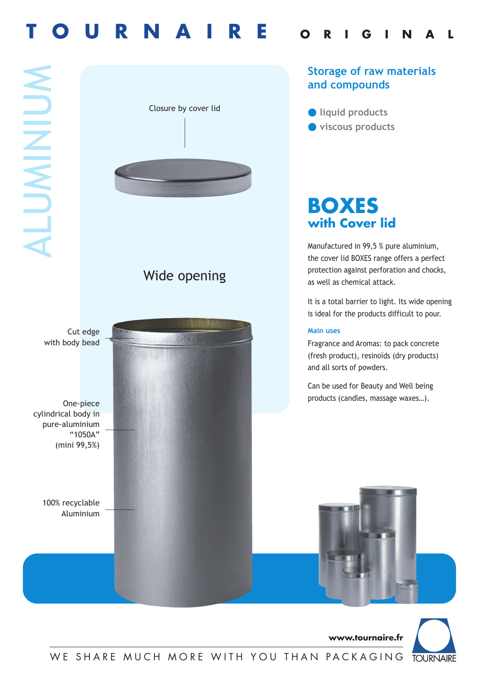# **T O U R N A I R E <sup>O</sup> <sup>R</sup> <sup>I</sup> <sup>G</sup> <sup>I</sup> <sup>N</sup> <sup>A</sup> <sup>L</sup>**

 $\blacktriangleleft$  $\overline{\phantom{a}}$ **U** M **International** Z **International U**  $\boldsymbol{\le}$ 



**Storage of raw materials and compounds**

● **liquid products** ● **viscous products**

## **BOXES with Cover lid**

Manufactured in 99,5 % pure aluminium, the cover lid BOXES range offers a perfect protection against perforation and chocks, as well as chemical attack.

It is a total barrier to light. Its wide opening is ideal for the products difficult to pour.

Fragrance and Aromas: to pack concrete (fresh product), resinoïds (dry products) and all sorts of powders.

Can be used for Beauty and Well being products (candles, massage waxes…).

**www.tournaire.fr**